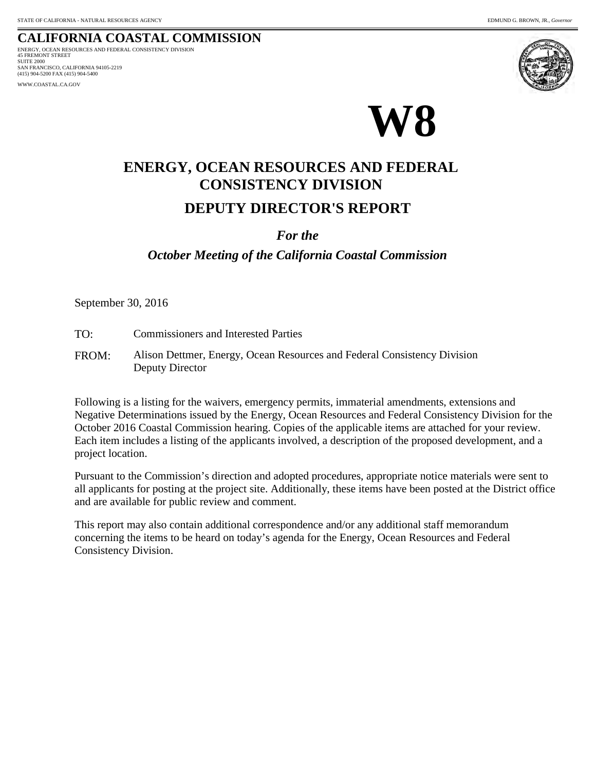#### **CALIFORNIA COASTAL COMMISSION** 45 FREMONT STREET ENERGY, OCEAN RESOURCES AND FEDERAL CONSISTENCY DIVISION

SUITE 2000 SAN FRANCISCO, CALIFORNIA 94105-2219 (415) 904-5200 FAX (415) 904-5400 WWW.COASTAL.CA.GOV



# **DEPUTY DIRECTOR'S REPORT ENERGY, OCEAN RESOURCES AND FEDERAL CONSISTENCY DIVISION**

## *For the*

# *October Meeting of the California Coastal Commission*

September 30, 2016

- TO: Commissioners and Interested Parties
- FROM: Alison Dettmer, Energy, Ocean Resources and Federal Consistency Division Deputy Director

Following is a listing for the waivers, emergency permits, immaterial amendments, extensions and Negative Determinations issued by the Energy, Ocean Resources and Federal Consistency Division for the October 2016 Coastal Commission hearing. Copies of the applicable items are attached for your review. Each item includes a listing of the applicants involved, a description of the proposed development, and a project location.

Pursuant to the Commission's direction and adopted procedures, appropriate notice materials were sent to all applicants for posting at the project site. Additionally, these items have been posted at the District office and are available for public review and comment.

This report may also contain additional correspondence and/or any additional staff memorandum concerning the items to be heard on today's agenda for the Energy, Ocean Resources and Federal Consistency Division.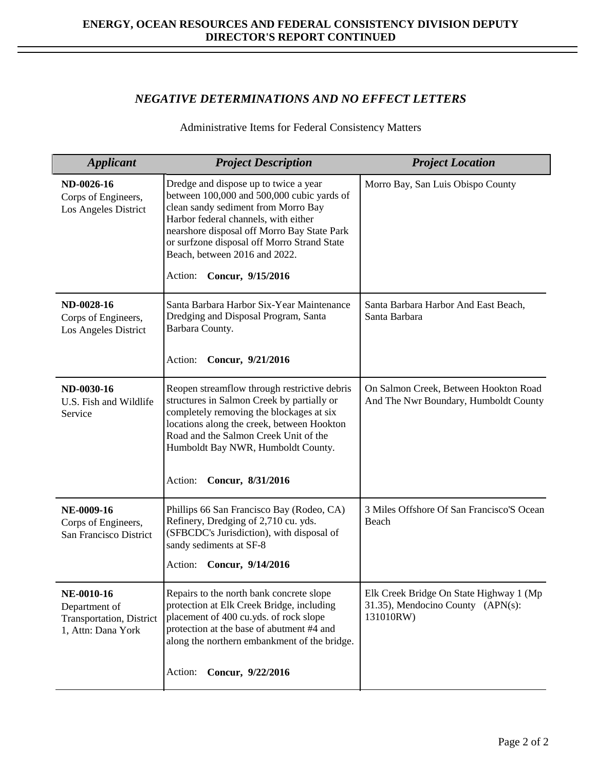### *NEGATIVE DETERMINATIONS AND NO EFFECT LETTERS*

Administrative Items for Federal Consistency Matters

| <b>Applicant</b>                                                              | <b>Project Description</b>                                                                                                                                                                                                                                                                                                        | <b>Project Location</b>                                                                   |
|-------------------------------------------------------------------------------|-----------------------------------------------------------------------------------------------------------------------------------------------------------------------------------------------------------------------------------------------------------------------------------------------------------------------------------|-------------------------------------------------------------------------------------------|
| ND-0026-16<br>Corps of Engineers,<br>Los Angeles District                     | Dredge and dispose up to twice a year<br>between 100,000 and 500,000 cubic yards of<br>clean sandy sediment from Morro Bay<br>Harbor federal channels, with either<br>nearshore disposal off Morro Bay State Park<br>or surfzone disposal off Morro Strand State<br>Beach, between 2016 and 2022.<br>Action:<br>Concur, 9/15/2016 | Morro Bay, San Luis Obispo County                                                         |
| ND-0028-16<br>Corps of Engineers,<br>Los Angeles District                     | Santa Barbara Harbor Six-Year Maintenance<br>Dredging and Disposal Program, Santa<br>Barbara County.<br>Concur, 9/21/2016<br>Action:                                                                                                                                                                                              | Santa Barbara Harbor And East Beach,<br>Santa Barbara                                     |
| ND-0030-16<br>U.S. Fish and Wildlife<br>Service                               | Reopen streamflow through restrictive debris<br>structures in Salmon Creek by partially or<br>completely removing the blockages at six<br>locations along the creek, between Hookton<br>Road and the Salmon Creek Unit of the<br>Humboldt Bay NWR, Humboldt County.<br>Concur, 8/31/2016<br>Action:                               | On Salmon Creek, Between Hookton Road<br>And The Nwr Boundary, Humboldt County            |
| NE-0009-16<br>Corps of Engineers,<br>San Francisco District                   | Phillips 66 San Francisco Bay (Rodeo, CA)<br>Refinery, Dredging of 2,710 cu. yds.<br>(SFBCDC's Jurisdiction), with disposal of<br>sandy sediments at SF-8<br>Action: Concur, 9/14/2016                                                                                                                                            | 3 Miles Offshore Of San Francisco'S Ocean<br>Beach                                        |
| NE-0010-16<br>Department of<br>Transportation, District<br>1, Attn: Dana York | Repairs to the north bank concrete slope<br>protection at Elk Creek Bridge, including<br>placement of 400 cu.yds. of rock slope<br>protection at the base of abutment #4 and<br>along the northern embankment of the bridge.                                                                                                      | Elk Creek Bridge On State Highway 1 (Mp<br>31.35), Mendocino County (APN(s):<br>131010RW) |
|                                                                               | Concur, 9/22/2016<br>Action:                                                                                                                                                                                                                                                                                                      |                                                                                           |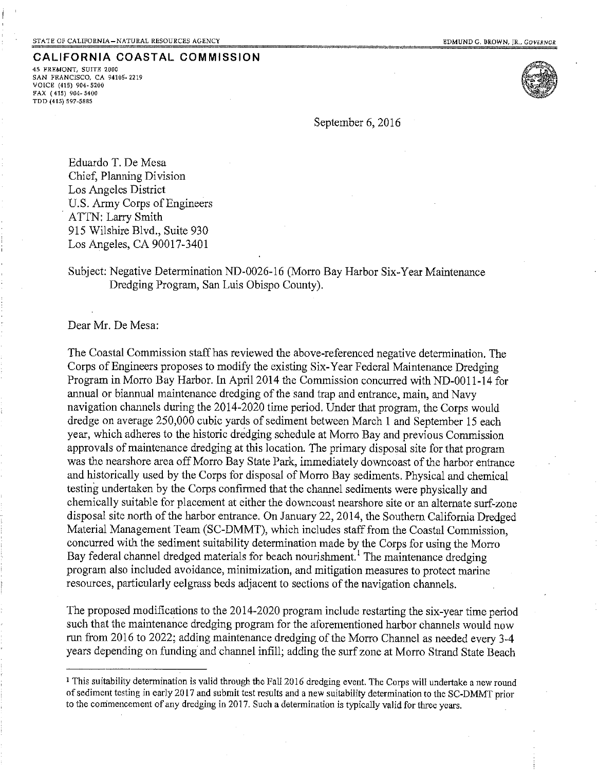45 FREMONT, SUITE 2000 SAN FRANCISCO, CA 94105-2219 VOICE (415) 904-5200 FAX (415) 904-5400 TDD (415) 597-5885



September 6, 2016

Eduardo T. De Mesa Chief, Planning Division Los Angeles District U.S. Army Corps of Engineers ATTN: Larry Smith 915 Wilshire Blyd., Suite 930 Los Angeles, CA 90017-3401

Subiect: Negative Determination ND-0026-16 (Morro Bay Harbor Six-Year Maintenance Dredging Program, San Luis Obispo County).

Dear Mr. De Mesa:

The Coastal Commission staff has reviewed the above-referenced negative determination. The Corps of Engineers proposes to modify the existing Six-Year Federal Maintenance Dredging Program in Morro Bay Harbor. In April 2014 the Commission concurred with ND-0011-14 for annual or biannual maintenance dredging of the sand trap and entrance, main, and Navy navigation channels during the 2014-2020 time period. Under that program, the Corps would dredge on average 250,000 cubic yards of sediment between March 1 and September 15 each year, which adheres to the historic dredging schedule at Morro Bay and previous Commission approvals of maintenance dredging at this location. The primary disposal site for that program was the nearshore area off Morro Bay State Park, immediately downcoast of the harbor entrance and historically used by the Corps for disposal of Morro Bay sediments. Physical and chemical testing undertaken by the Corps confirmed that the channel sediments were physically and chemically suitable for placement at either the downcoast nearshore site or an alternate surf-zone disposal site north of the harbor entrance. On January 22, 2014, the Southern California Dredged Material Management Team (SC-DMMT), which includes staff from the Coastal Commission. concurred with the sediment suitability determination made by the Corps for using the Morro Bay federal channel dredged materials for beach nourishment.<sup>1</sup> The maintenance dredging program also included avoidance, minimization, and mitigation measures to protect marine resources, particularly eelgrass beds adjacent to sections of the navigation channels.

The proposed modifications to the 2014-2020 program include restarting the six-year time period such that the maintenance dredging program for the aforementioned harbor channels would now run from 2016 to 2022; adding maintenance dredging of the Morro Channel as needed every 3-4 years depending on funding and channel infill; adding the surf zone at Morro Strand State Beach

<sup>&</sup>lt;sup>1</sup> This suitability determination is valid through the Fall 2016 dredging event. The Corps will undertake a new round of sediment testing in early 2017 and submit test results and a new suitability determination to the SC-DMMT prior to the commencement of any dredging in 2017. Such a determination is typically valid for three years.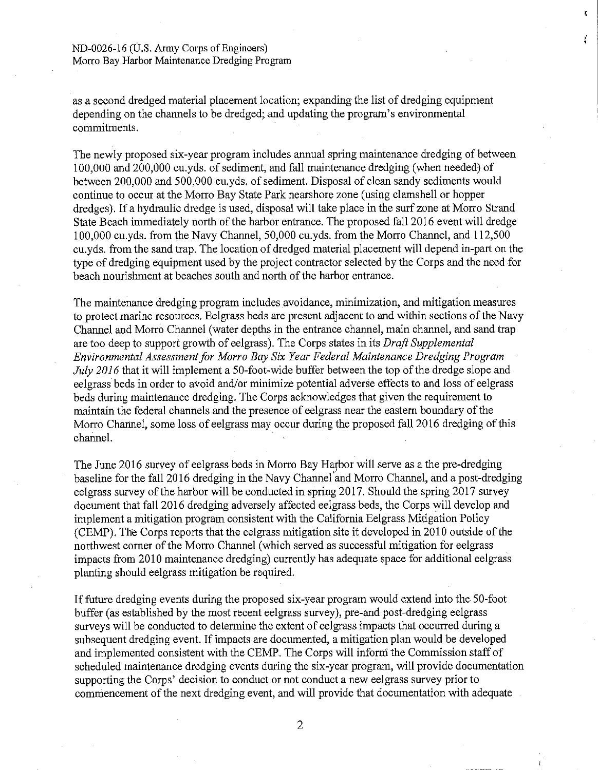# ND-0026-16 (U.S. Army Corps of Engineers)

Morro Bay Harbor Maintenance Dredging Program

as a second dredged material placement location; expanding the list of dredging equipment depending on the channels to be dredged; and updating the program's environmental commitments.

ţ.

The newly proposed six-year program includes annual spring maintenance dredging of between 100,000 and 200,000 cu, vds. of sediment, and fall maintenance dredging (when needed) of between 200,000 and 500,000 cu, vds. of sediment. Disposal of clean sandy sediments would continue to occur at the Morro Bay State Park nearshore zone (using clamshell or hopper dredges). If a hydraulic dredge is used, disposal will take place in the surf zone at Morro Strand State Beach immediately north of the harbor entrance. The proposed fall 2016 event will dredge 100,000 cu.yds. from the Navy Channel, 50,000 cu.yds. from the Morro Channel, and 112,500 cu, vds. from the sand trap. The location of dredged material placement will depend in-part on the type of dredging equipment used by the project contractor selected by the Corps and the need for beach nourishment at beaches south and north of the harbor entrance.

The maintenance dredging program includes avoidance, minimization, and mitigation measures to protect marine resources. Eelgrass beds are present adjacent to and within sections of the Navy Channel and Morro Channel (water depths in the entrance channel, main channel, and sand trap are too deep to support growth of eelgrass). The Corps states in its Draft Supplemental Environmental Assessment for Morro Bay Six Year Federal Maintenance Dredging Program July 2016 that it will implement a 50-foot-wide buffer between the top of the dredge slope and eelgrass beds in order to avoid and/or minimize potential adverse effects to and loss of eelgrass beds during maintenance dredging. The Corps acknowledges that given the requirement to maintain the federal channels and the presence of eelgrass near the eastern boundary of the Morro Channel, some loss of eelgrass may occur during the proposed fall 2016 dredging of this channel.

The June 2016 survey of eelgrass beds in Morro Bay Harbor will serve as a the pre-dredging baseline for the fall 2016 dredging in the Navy Channel and Morro Channel, and a post-dredging eelgrass survey of the harbor will be conducted in spring 2017. Should the spring 2017 survey document that fall 2016 dredging adversely affected eelgrass beds, the Corps will develop and implement a mitigation program consistent with the California Eelgrass Mitigation Policy (CEMP). The Corps reports that the eelgrass mitigation site it developed in 2010 outside of the northwest corner of the Morro Channel (which served as successful mitigation for eelgrass impacts from 2010 maintenance dredging) currently has adequate space for additional eelgrass planting should eelgrass mitigation be required.

If future dredging events during the proposed six-year program would extend into the 50-foot buffer (as established by the most recent eelgrass survey), pre-and post-dredging eelgrass surveys will be conducted to determine the extent of eelgrass impacts that occurred during a subsequent dredging event. If impacts are documented, a mitigation plan would be developed and implemented consistent with the CEMP. The Corps will inform the Commission staff of scheduled maintenance dredging events during the six-year program, will provide documentation supporting the Corps' decision to conduct or not conduct a new eelgrass survey prior to commencement of the next dredging event, and will provide that documentation with adequate

 $\overline{2}$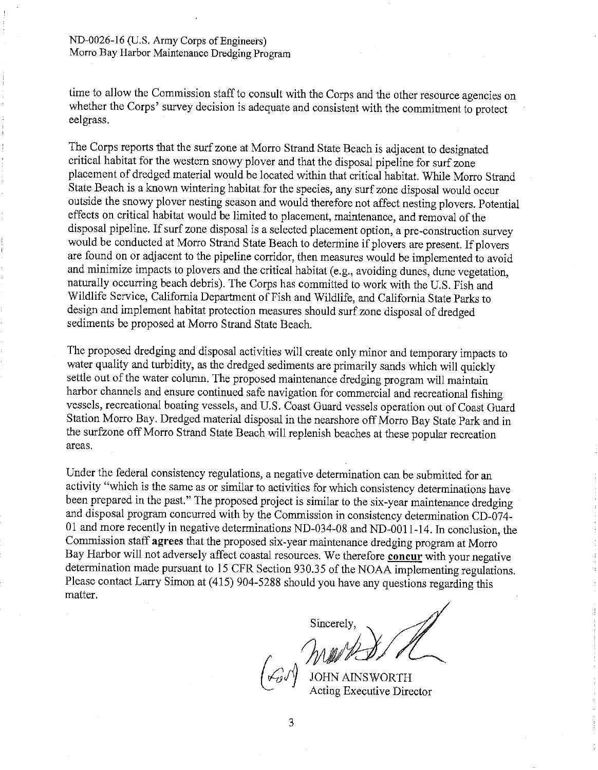time to allow the Commission staff to consult with the Corps and the other resource agencies on whether the Corps' survey decision is adequate and consistent with the commitment to protect eelgrass.

The Corps reports that the surf zone at Morro Strand State Beach is adjacent to designated critical habitat for the western snowy plover and that the disposal pipeline for surf zone placement of dredged material would be located within that critical habitat. While Morro Strand State Beach is a known wintering habitat for the species, any surf zone disposal would occur outside the snowy plover nesting season and would therefore not affect nesting plovers. Potential effects on critical habitat would be limited to placement, maintenance, and removal of the disposal pipeline. If surf zone disposal is a selected placement option, a pre-construction survey would be conducted at Morro Strand State Beach to determine if plovers are present. If plovers are found on or adjacent to the pipeline corridor, then measures would be implemented to avoid and minimize impacts to plovers and the critical habitat (e.g., avoiding dunes, dune vegetation, naturally occurring beach debris). The Corps has committed to work with the U.S. Fish and Wildlife Service, California Department of Fish and Wildlife, and California State Parks to design and implement habitat protection measures should surf zone disposal of dredged sediments be proposed at Morro Strand State Beach.

The proposed dredging and disposal activities will create only minor and temporary impacts to water quality and turbidity, as the dredged sediments are primarily sands which will quickly settle out of the water column. The proposed maintenance dredging program will maintain harbor channels and ensure continued safe navigation for commercial and recreational fishing vessels, recreational boating vessels, and U.S. Coast Guard vessels operation out of Coast Guard Station Morro Bay. Dredged material disposal in the nearshore off Morro Bay State Park and in the surfzone off Morro Strand State Beach will replenish beaches at these popular recreation areas.

Under the federal consistency regulations, a negative determination can be submitted for an activity "which is the same as or similar to activities for which consistency determinations have been prepared in the past." The proposed project is similar to the six-year maintenance dredging and disposal program concurred with by the Commission in consistency determination CD-074-01 and more recently in negative determinations ND-034-08 and ND-0011-14. In conclusion, the Commission staff agrees that the proposed six-year maintenance dredging program at Morro Bay Harbor will not adversely affect coastal resources. We therefore concur with your negative determination made pursuant to 15 CFR Section 930.35 of the NOAA implementing regulations. Please contact Larry Simon at (415) 904-5288 should you have any questions regarding this matter.

Sincerely.

**JOHN AINSWORTH** Acting Executive Director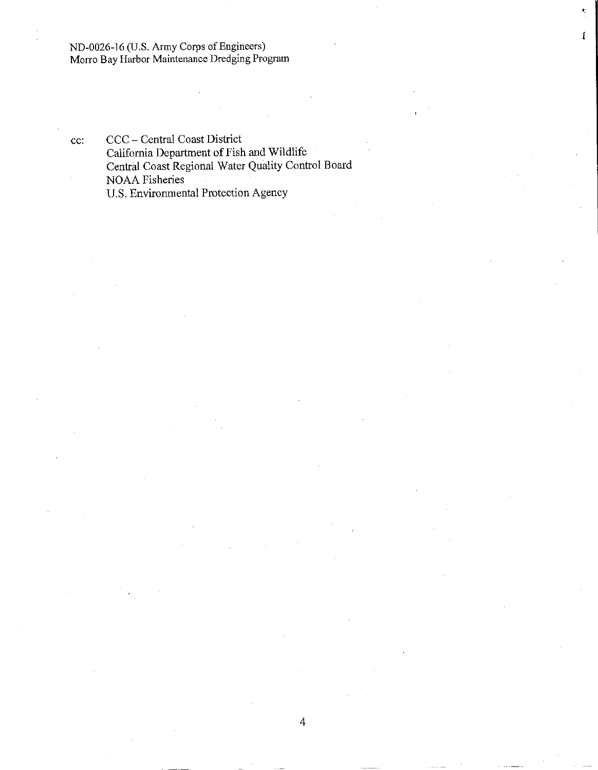ND-0026-16 (U.S. Army Corps of Engineers) Morro Bay Harbor Maintenance Dredging Program

CCC - Central Coast District cc: California Department of Fish and Wildlife Central Coast Regional Water Quality Control Board NOAA Fisheries U.S. Environmental Protection Agency

Ï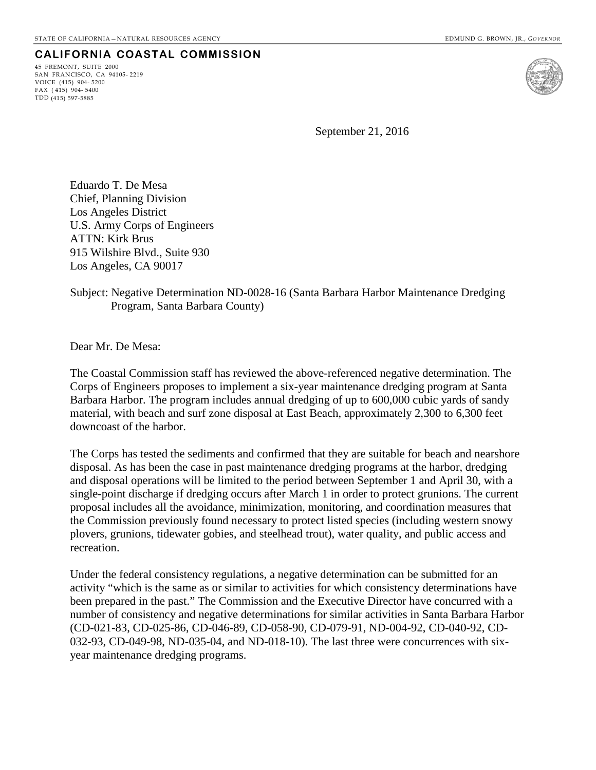45 FREMONT, SUITE 2000 SAN FRANCISCO, CA 94105- 2219 VOICE (415) 904- 5200 FAX ( 415) 904- 5400 TDD (415) 597-5885



September 21, 2016

Eduardo T. De Mesa Chief, Planning Division Los Angeles District U.S. Army Corps of Engineers ATTN: Kirk Brus 915 Wilshire Blvd., Suite 930 Los Angeles, CA 90017

#### Subject: Negative Determination ND-0028-16 (Santa Barbara Harbor Maintenance Dredging Program, Santa Barbara County)

Dear Mr. De Mesa:

The Coastal Commission staff has reviewed the above-referenced negative determination. The Corps of Engineers proposes to implement a six-year maintenance dredging program at Santa Barbara Harbor. The program includes annual dredging of up to 600,000 cubic yards of sandy material, with beach and surf zone disposal at East Beach, approximately 2,300 to 6,300 feet downcoast of the harbor.

The Corps has tested the sediments and confirmed that they are suitable for beach and nearshore disposal. As has been the case in past maintenance dredging programs at the harbor, dredging and disposal operations will be limited to the period between September 1 and April 30, with a single-point discharge if dredging occurs after March 1 in order to protect grunions. The current proposal includes all the avoidance, minimization, monitoring, and coordination measures that the Commission previously found necessary to protect listed species (including western snowy plovers, grunions, tidewater gobies, and steelhead trout), water quality, and public access and recreation.

Under the federal consistency regulations, a negative determination can be submitted for an activity "which is the same as or similar to activities for which consistency determinations have been prepared in the past." The Commission and the Executive Director have concurred with a number of consistency and negative determinations for similar activities in Santa Barbara Harbor (CD-021-83, CD-025-86, CD-046-89, CD-058-90, CD-079-91, ND-004-92, CD-040-92, CD-032-93, CD-049-98, ND-035-04, and ND-018-10). The last three were concurrences with sixyear maintenance dredging programs.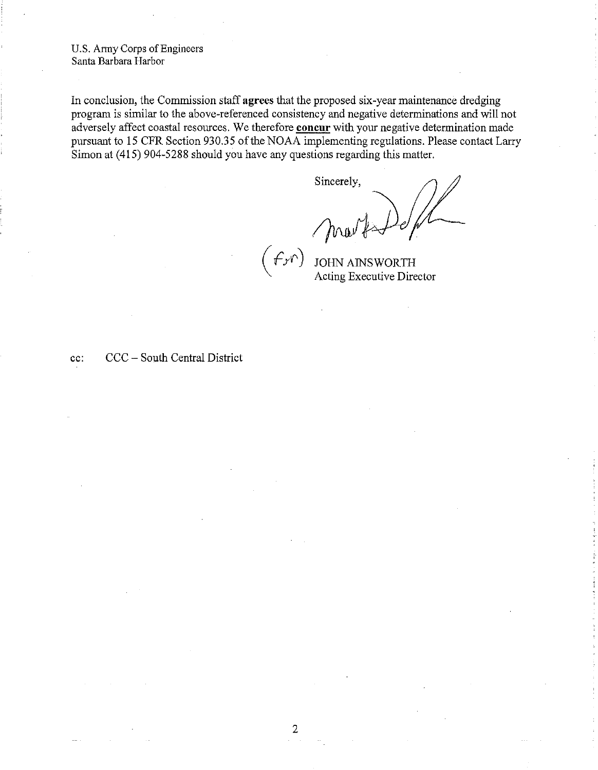U.S. Army Corps of Engineers Santa Barbara Harbor

In conclusion, the Commission staff agrees that the proposed six-year maintenance dredging program is similar to the above-referenced consistency and negative determinations and will not adversely affect coastal resources. We therefore concur with your negative determination made pursuant to 15 CFR Section 930.35 of the NOAA implementing regulations. Please contact Larry Simon at (415) 904-5288 should you have any questions regarding this matter.

Sincerely, Marks Pefre  $f(r)$ 

CCC – South Central District cc: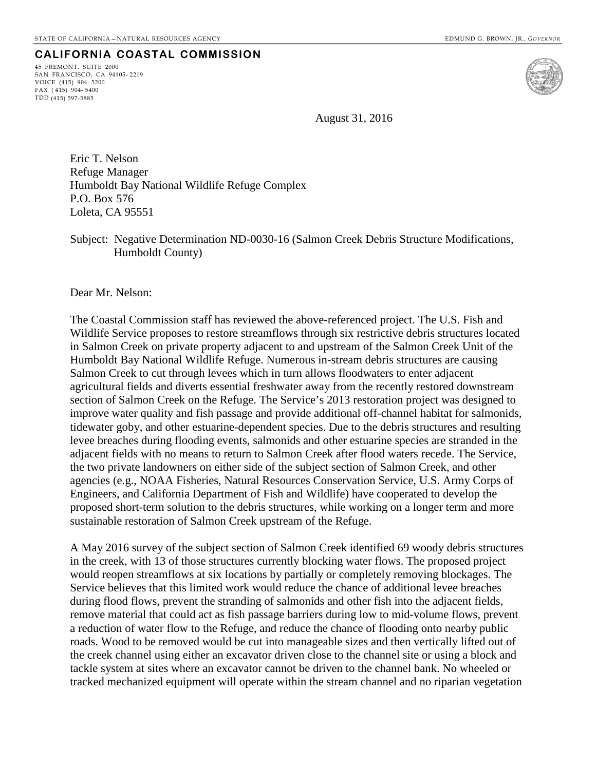45 FREMONT, SUITE 2000 SAN FRANCISCO, CA 94105- 2219 VOICE (415) 904- 5200 FAX ( 415) 904- 5400 TDD (415) 597-5885



August 31, 2016

Eric T. Nelson Refuge Manager Humboldt Bay National Wildlife Refuge Complex P.O. Box 576 Loleta, CA 95551

Subject: Negative Determination ND-0030-16 (Salmon Creek Debris Structure Modifications, Humboldt County)

Dear Mr. Nelson:

The Coastal Commission staff has reviewed the above-referenced project. The U.S. Fish and Wildlife Service proposes to restore streamflows through six restrictive debris structures located in Salmon Creek on private property adjacent to and upstream of the Salmon Creek Unit of the Humboldt Bay National Wildlife Refuge. Numerous in-stream debris structures are causing Salmon Creek to cut through levees which in turn allows floodwaters to enter adjacent agricultural fields and diverts essential freshwater away from the recently restored downstream section of Salmon Creek on the Refuge. The Service's 2013 restoration project was designed to improve water quality and fish passage and provide additional off-channel habitat for salmonids, tidewater goby, and other estuarine-dependent species. Due to the debris structures and resulting levee breaches during flooding events, salmonids and other estuarine species are stranded in the adjacent fields with no means to return to Salmon Creek after flood waters recede. The Service, the two private landowners on either side of the subject section of Salmon Creek, and other agencies (e.g., NOAA Fisheries, Natural Resources Conservation Service, U.S. Army Corps of Engineers, and California Department of Fish and Wildlife) have cooperated to develop the proposed short-term solution to the debris structures, while working on a longer term and more sustainable restoration of Salmon Creek upstream of the Refuge.

A May 2016 survey of the subject section of Salmon Creek identified 69 woody debris structures in the creek, with 13 of those structures currently blocking water flows. The proposed project would reopen streamflows at six locations by partially or completely removing blockages. The Service believes that this limited work would reduce the chance of additional levee breaches during flood flows, prevent the stranding of salmonids and other fish into the adjacent fields, remove material that could act as fish passage barriers during low to mid-volume flows, prevent a reduction of water flow to the Refuge, and reduce the chance of flooding onto nearby public roads. Wood to be removed would be cut into manageable sizes and then vertically lifted out of the creek channel using either an excavator driven close to the channel site or using a block and tackle system at sites where an excavator cannot be driven to the channel bank. No wheeled or tracked mechanized equipment will operate within the stream channel and no riparian vegetation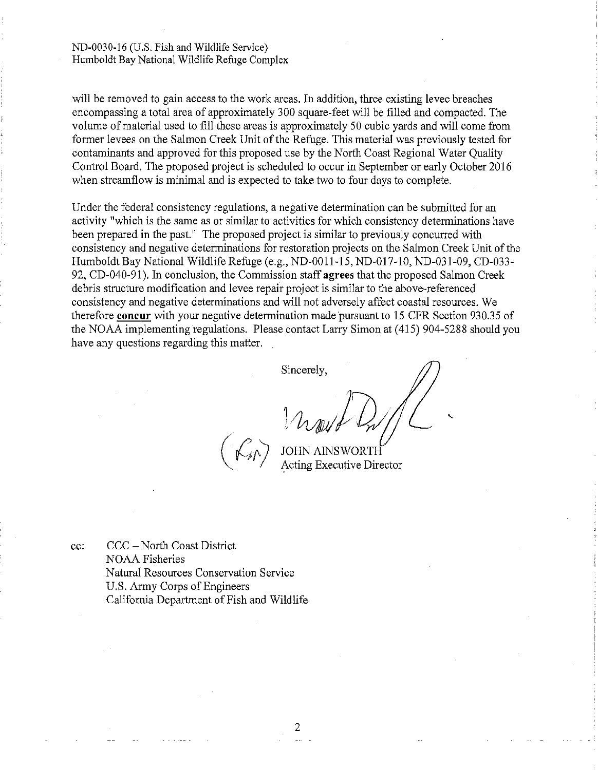ND-0030-16 (U.S. Fish and Wildlife Service) Humboldt Bay National Wildlife Refuge Complex

will be removed to gain access to the work areas. In addition, three existing levee breaches encompassing a total area of approximately 300 square-feet will be filled and compacted. The volume of material used to fill these areas is approximately 50 cubic yards and will come from former levees on the Salmon Creek Unit of the Refuge. This material was previously tested for contaminants and approved for this proposed use by the North Coast Regional Water Quality Control Board. The proposed project is scheduled to occur in September or early October 2016 when streamflow is minimal and is expected to take two to four days to complete.

Under the federal consistency regulations, a negative determination can be submitted for an activity "which is the same as or similar to activities for which consistency determinations have been prepared in the past." The proposed project is similar to previously concurred with consistency and negative determinations for restoration projects on the Salmon Creek Unit of the Humboldt Bay National Wildlife Refuge (e.g., ND-0011-15, ND-017-10, ND-031-09, CD-033-92. CD-040-91). In conclusion, the Commission staff agrees that the proposed Salmon Creek debris structure modification and levee repair project is similar to the above-referenced consistency and negative determinations and will not adversely affect coastal resources. We therefore concur with your negative determination made pursuant to 15 CFR Section 930.35 of the NOAA implementing regulations. Please contact Larry Simon at (415) 904-5288 should you have any questions regarding this matter.

Sincerely,

Acting Executive Director

CCC – North Coast District cc: **NOAA Fisheries** Natural Resources Conservation Service U.S. Army Corps of Engineers California Department of Fish and Wildlife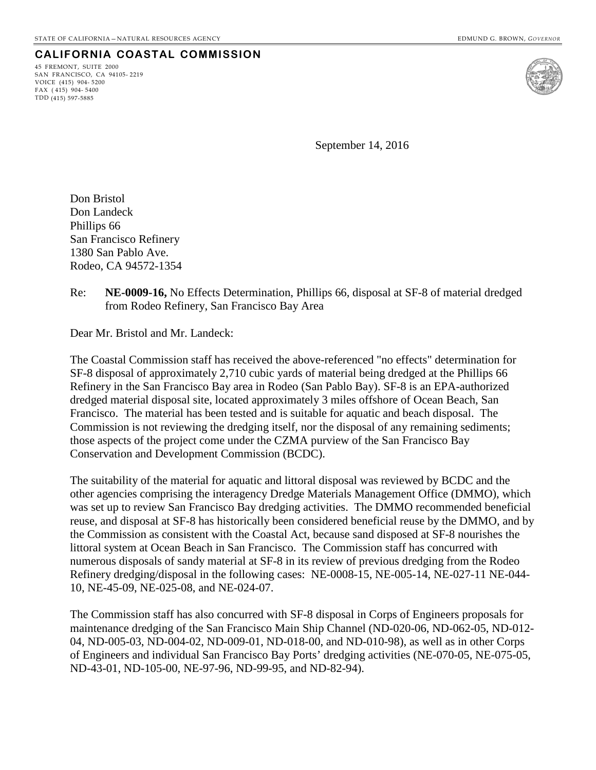45 FREMONT, SUITE 2000 SAN FRANCISCO, CA 94105- 2219 VOICE (415) 904- 5200 FAX ( 415) 904- 5400 TDD (415) 597-5885



September 14, 2016

Don Bristol Don Landeck Phillips 66 San Francisco Refinery 1380 San Pablo Ave. Rodeo, CA 94572-1354

Re: **NE-0009-16,** No Effects Determination, Phillips 66, disposal at SF-8 of material dredged from Rodeo Refinery, San Francisco Bay Area

Dear Mr. Bristol and Mr. Landeck:

The Coastal Commission staff has received the above-referenced "no effects" determination for SF-8 disposal of approximately 2,710 cubic yards of material being dredged at the Phillips 66 Refinery in the San Francisco Bay area in Rodeo (San Pablo Bay). SF-8 is an EPA-authorized dredged material disposal site, located approximately 3 miles offshore of Ocean Beach, San Francisco. The material has been tested and is suitable for aquatic and beach disposal. The Commission is not reviewing the dredging itself, nor the disposal of any remaining sediments; those aspects of the project come under the CZMA purview of the San Francisco Bay Conservation and Development Commission (BCDC).

The suitability of the material for aquatic and littoral disposal was reviewed by BCDC and the other agencies comprising the interagency Dredge Materials Management Office (DMMO), which was set up to review San Francisco Bay dredging activities. The DMMO recommended beneficial reuse, and disposal at SF-8 has historically been considered beneficial reuse by the DMMO, and by the Commission as consistent with the Coastal Act, because sand disposed at SF-8 nourishes the littoral system at Ocean Beach in San Francisco. The Commission staff has concurred with numerous disposals of sandy material at SF-8 in its review of previous dredging from the Rodeo Refinery dredging/disposal in the following cases: NE-0008-15, NE-005-14, NE-027-11 NE-044- 10, NE-45-09, NE-025-08, and NE-024-07.

The Commission staff has also concurred with SF-8 disposal in Corps of Engineers proposals for maintenance dredging of the San Francisco Main Ship Channel (ND-020-06, ND-062-05, ND-012- 04, ND-005-03, ND-004-02, ND-009-01, ND-018-00, and ND-010-98), as well as in other Corps of Engineers and individual San Francisco Bay Ports' dredging activities (NE-070-05, NE-075-05, ND-43-01, ND-105-00, NE-97-96, ND-99-95, and ND-82-94).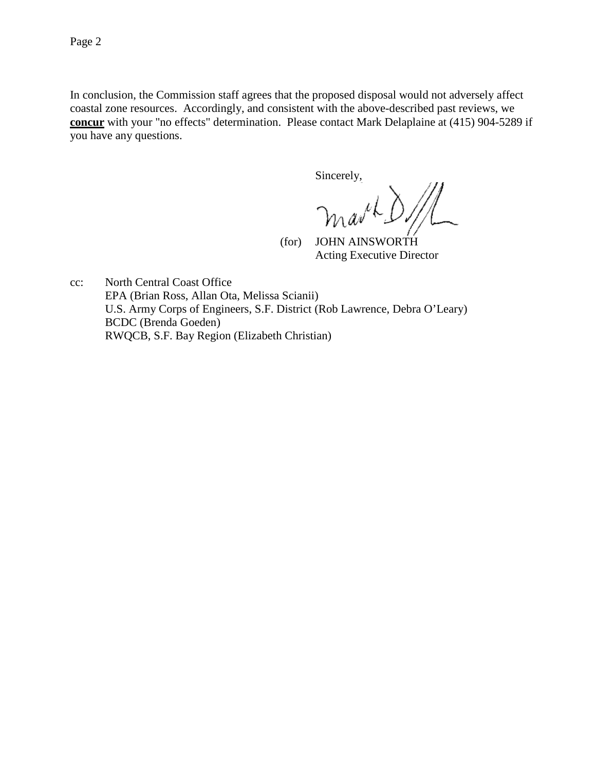In conclusion, the Commission staff agrees that the proposed disposal would not adversely affect coastal zone resources. Accordingly, and consistent with the above-described past reviews, we **concur** with your "no effects" determination. Please contact Mark Delaplaine at (415) 904-5289 if you have any questions.

Sincerely,

 (for) JOHN AINSWORTH Acting Executive Director

cc: North Central Coast Office EPA (Brian Ross, Allan Ota, Melissa Scianii) U.S. Army Corps of Engineers, S.F. District (Rob Lawrence, Debra O'Leary) BCDC (Brenda Goeden) RWQCB, S.F. Bay Region (Elizabeth Christian)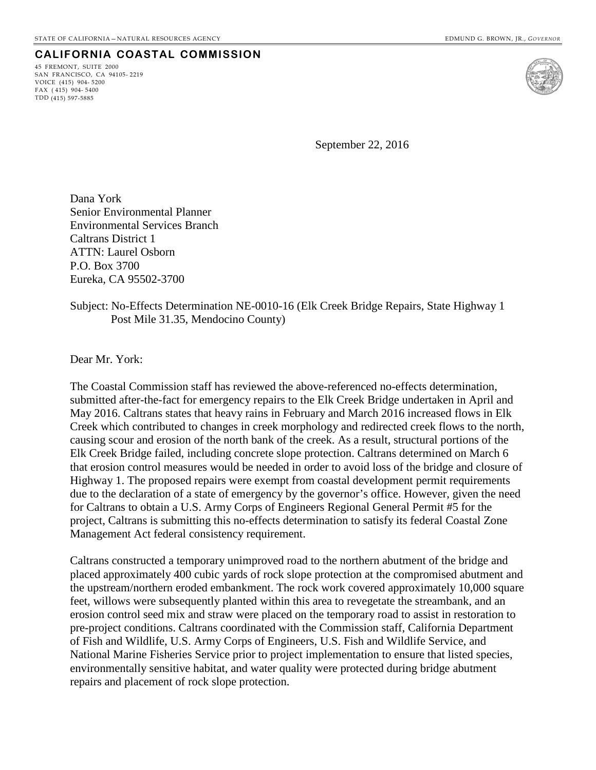45 FREMONT, SUITE 2000 SAN FRANCISCO, CA 94105- 2219 VOICE (415) 904- 5200 FAX ( 415) 904- 5400 TDD (415) 597-5885



September 22, 2016

Dana York Senior Environmental Planner Environmental Services Branch Caltrans District 1 ATTN: Laurel Osborn P.O. Box 3700 Eureka, CA 95502-3700

#### Subject: No-Effects Determination NE-0010-16 (Elk Creek Bridge Repairs, State Highway 1 Post Mile 31.35, Mendocino County)

Dear Mr. York:

The Coastal Commission staff has reviewed the above-referenced no-effects determination, submitted after-the-fact for emergency repairs to the Elk Creek Bridge undertaken in April and May 2016. Caltrans states that heavy rains in February and March 2016 increased flows in Elk Creek which contributed to changes in creek morphology and redirected creek flows to the north, causing scour and erosion of the north bank of the creek. As a result, structural portions of the Elk Creek Bridge failed, including concrete slope protection. Caltrans determined on March 6 that erosion control measures would be needed in order to avoid loss of the bridge and closure of Highway 1. The proposed repairs were exempt from coastal development permit requirements due to the declaration of a state of emergency by the governor's office. However, given the need for Caltrans to obtain a U.S. Army Corps of Engineers Regional General Permit #5 for the project, Caltrans is submitting this no-effects determination to satisfy its federal Coastal Zone Management Act federal consistency requirement.

Caltrans constructed a temporary unimproved road to the northern abutment of the bridge and placed approximately 400 cubic yards of rock slope protection at the compromised abutment and the upstream/northern eroded embankment. The rock work covered approximately 10,000 square feet, willows were subsequently planted within this area to revegetate the streambank, and an erosion control seed mix and straw were placed on the temporary road to assist in restoration to pre-project conditions. Caltrans coordinated with the Commission staff, California Department of Fish and Wildlife, U.S. Army Corps of Engineers, U.S. Fish and Wildlife Service, and National Marine Fisheries Service prior to project implementation to ensure that listed species, environmentally sensitive habitat, and water quality were protected during bridge abutment repairs and placement of rock slope protection.